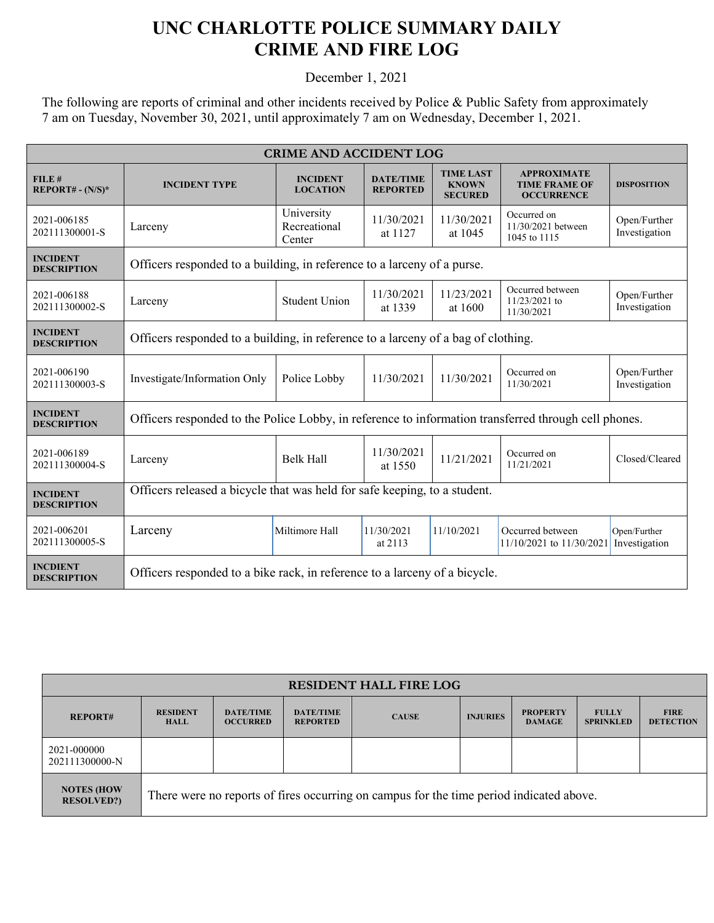## **UNC CHARLOTTE POLICE SUMMARY DAILY CRIME AND FIRE LOG**

December 1, 2021

The following are reports of criminal and other incidents received by Police & Public Safety from approximately 7 am on Tuesday, November 30, 2021, until approximately 7 am on Wednesday, December 1, 2021.

| <b>CRIME AND ACCIDENT LOG</b>         |                                                                                                      |                                      |                                     |                                                    |                                                                 |                               |  |
|---------------------------------------|------------------------------------------------------------------------------------------------------|--------------------------------------|-------------------------------------|----------------------------------------------------|-----------------------------------------------------------------|-------------------------------|--|
| FILE#<br>$REPORT# - (N/S)*$           | <b>INCIDENT TYPE</b>                                                                                 | <b>INCIDENT</b><br><b>LOCATION</b>   | <b>DATE/TIME</b><br><b>REPORTED</b> | <b>TIME LAST</b><br><b>KNOWN</b><br><b>SECURED</b> | <b>APPROXIMATE</b><br><b>TIME FRAME OF</b><br><b>OCCURRENCE</b> | <b>DISPOSITION</b>            |  |
| 2021-006185<br>202111300001-S         | Larceny                                                                                              | University<br>Recreational<br>Center | 11/30/2021<br>at 1127               | 11/30/2021<br>at 1045                              | Occurred on<br>11/30/2021 between<br>1045 to 1115               | Open/Further<br>Investigation |  |
| <b>INCIDENT</b><br><b>DESCRIPTION</b> | Officers responded to a building, in reference to a larceny of a purse.                              |                                      |                                     |                                                    |                                                                 |                               |  |
| 2021-006188<br>202111300002-S         | Larceny                                                                                              | <b>Student Union</b>                 | 11/30/2021<br>at 1339               | 11/23/2021<br>at 1600                              | Occurred between<br>11/23/2021 to<br>11/30/2021                 | Open/Further<br>Investigation |  |
| <b>INCIDENT</b><br><b>DESCRIPTION</b> | Officers responded to a building, in reference to a larceny of a bag of clothing.                    |                                      |                                     |                                                    |                                                                 |                               |  |
| 2021-006190<br>202111300003-S         | Investigate/Information Only                                                                         | Police Lobby                         | 11/30/2021                          | 11/30/2021                                         | Occurred on<br>11/30/2021                                       | Open/Further<br>Investigation |  |
| <b>INCIDENT</b><br><b>DESCRIPTION</b> | Officers responded to the Police Lobby, in reference to information transferred through cell phones. |                                      |                                     |                                                    |                                                                 |                               |  |
| 2021-006189<br>202111300004-S         | Larceny                                                                                              | <b>Belk Hall</b>                     | 11/30/2021<br>at 1550               | 11/21/2021                                         | Occurred on<br>11/21/2021                                       | Closed/Cleared                |  |
| <b>INCIDENT</b><br><b>DESCRIPTION</b> | Officers released a bicycle that was held for safe keeping, to a student.                            |                                      |                                     |                                                    |                                                                 |                               |  |
| 2021-006201<br>202111300005-S         | Larceny                                                                                              | Miltimore Hall                       | 11/30/2021<br>at 2113               | 11/10/2021                                         | Occurred between<br>11/10/2021 to 11/30/2021                    | Open/Further<br>Investigation |  |
| <b>INCDIENT</b><br><b>DESCRIPTION</b> | Officers responded to a bike rack, in reference to a larceny of a bicycle.                           |                                      |                                     |                                                    |                                                                 |                               |  |

| <b>RESIDENT HALL FIRE LOG</b>           |                                                                                         |                                     |                                     |              |                 |                                  |                                  |                                 |
|-----------------------------------------|-----------------------------------------------------------------------------------------|-------------------------------------|-------------------------------------|--------------|-----------------|----------------------------------|----------------------------------|---------------------------------|
| <b>REPORT#</b>                          | <b>RESIDENT</b><br><b>HALL</b>                                                          | <b>DATE/TIME</b><br><b>OCCURRED</b> | <b>DATE/TIME</b><br><b>REPORTED</b> | <b>CAUSE</b> | <b>INJURIES</b> | <b>PROPERTY</b><br><b>DAMAGE</b> | <b>FULLY</b><br><b>SPRINKLED</b> | <b>FIRE</b><br><b>DETECTION</b> |
| 2021-000000<br>202111300000-N           |                                                                                         |                                     |                                     |              |                 |                                  |                                  |                                 |
| <b>NOTES (HOW)</b><br><b>RESOLVED?)</b> | There were no reports of fires occurring on campus for the time period indicated above. |                                     |                                     |              |                 |                                  |                                  |                                 |